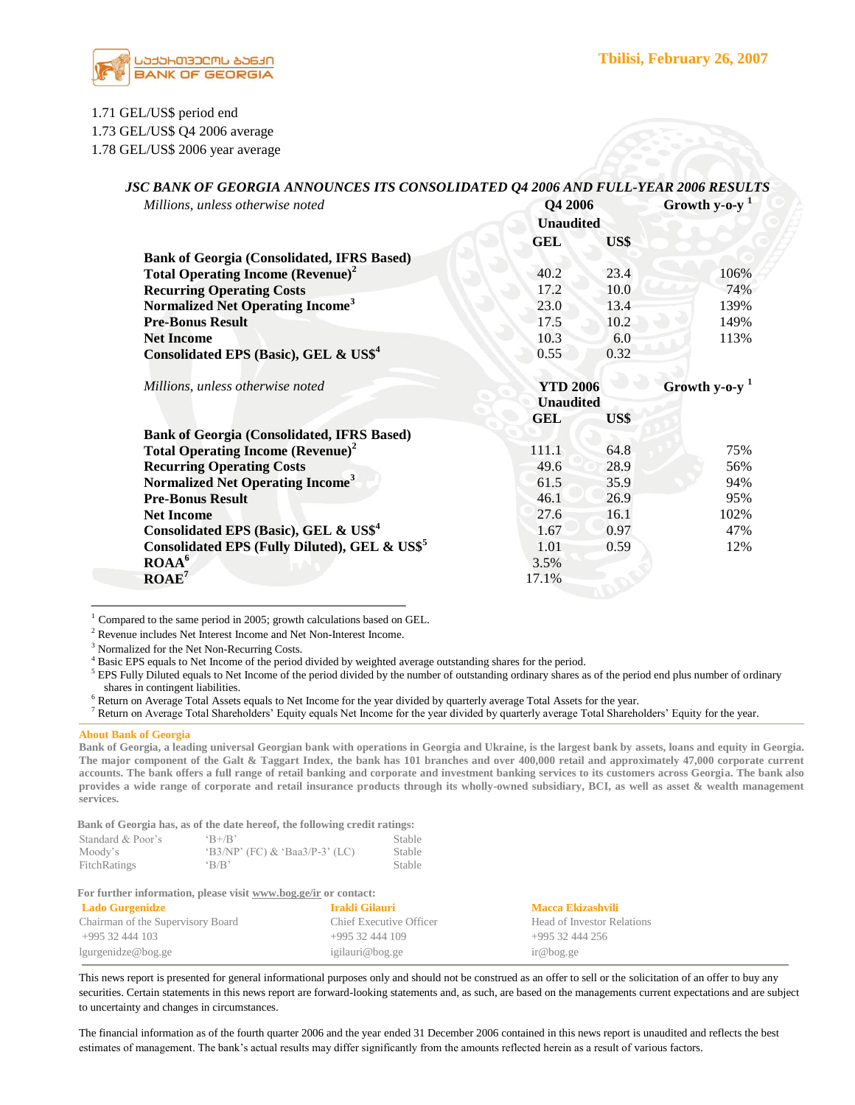

# 1.71 GEL/US\$ period end

1.73 GEL/US\$ Q4 2006 average

1.78 GEL/US\$ 2006 year average

| Millions, unless otherwise noted                          | Q4 2006          | Growth y-o-y <sup>1</sup> |      |
|-----------------------------------------------------------|------------------|---------------------------|------|
|                                                           | <b>Unaudited</b> |                           |      |
|                                                           | <b>GEL</b>       | US\$                      |      |
| <b>Bank of Georgia (Consolidated, IFRS Based)</b>         |                  |                           |      |
| <b>Total Operating Income (Revenue)<sup>2</sup></b>       | 40.2             | 23.4                      | 106% |
| <b>Recurring Operating Costs</b>                          | 17.2             | 10.0                      | 74%  |
| Normalized Net Operating Income <sup>3</sup>              | 23.0             | 13.4                      | 139% |
| <b>Pre-Bonus Result</b>                                   | 17.5             | 10.2                      | 149% |
| <b>Net Income</b>                                         | 10.3             | 6.0                       | 113% |
| Consolidated EPS (Basic), GEL & US\$ <sup>4</sup>         | 0.55             | 0.32                      |      |
| Millions, unless otherwise noted                          |                  | <b>YTD 2006</b>           |      |
|                                                           | <b>Unaudited</b> | Growth y-o-y <sup>1</sup> |      |
|                                                           | GEL              | US\$                      |      |
| <b>Bank of Georgia (Consolidated, IFRS Based)</b>         |                  |                           |      |
| <b>Total Operating Income (Revenue)<sup>2</sup></b>       | 111.1            | 64.8                      | 75%  |
| <b>Recurring Operating Costs</b>                          | 49.6             | 28.9                      | 56%  |
| Normalized Net Operating Income <sup>3</sup>              | 61.5             | 35.9                      | 94%  |
| <b>Pre-Bonus Result</b>                                   | 46.1             | 26.9                      | 95%  |
| <b>Net Income</b>                                         | 27.6             | 16.1                      | 102% |
| Consolidated EPS (Basic), GEL & US\$ <sup>4</sup>         | 1.67             | 0.97                      | 47%  |
| Consolidated EPS (Fully Diluted), GEL & US\$ <sup>5</sup> | 1.01             | 0.59                      | 12%  |
| ROAA <sup>6</sup>                                         | 3.5%             |                           |      |
| $\mathbf{ROAE}^7$                                         | 17.1%            |                           |      |

# *JSC BANK OF GEORGIA ANNOUNCES ITS CONSOLIDATED Q4 2006 AND FULL-YEAR 2006 RESULTS*

 $1$  Compared to the same period in 2005; growth calculations based on GEL.

 $^2$  Revenue includes Net Interest Income and Net Non-Interest Income.

<sup>3</sup> Normalized for the Net Non-Recurring Costs.

<sup>4</sup> Basic EPS equals to Net Income of the period divided by weighted average outstanding shares for the period.

<sup>5</sup> EPS Fully Diluted equals to Net Income of the period divided by the number of outstanding ordinary shares as of the period end plus number of ordinary shares in contingent liabilities.

<sup>6</sup> Return on Average Total Assets equals to Net Income for the year divided by quarterly average Total Assets for the year.

<sup>7</sup> Return on Average Total Shareholders' Equity equals Net Income for the year divided by quarterly average Total Shareholders' Equity for the year.

#### **About Bank of Georgia**

**Bank of Georgia, a leading universal Georgian bank with operations in Georgia and Ukraine, is the largest bank by assets, loans and equity in Georgia. The major component of the Galt & Taggart Index, the bank has 101 branches and over 400,000 retail and approximately 47,000 corporate current accounts. The bank offers a full range of retail banking and corporate and investment banking services to its customers across Georgia. The bank also provides a wide range of corporate and retail insurance products through its wholly-owned subsidiary, BCI, as well as asset & wealth management services.** 

 **Bank of Georgia has, as of the date hereof, the following credit ratings:**

| Standard & Poor's | $\mathrm{B} + \mathrm{B}$         | Stable |
|-------------------|-----------------------------------|--------|
| Moody's           | $(B3/NP')$ (FC) & 'Baa3/P-3' (LC) | Stable |
| FitchRatings      | $\cdot$ B/B'                      | Stable |

 **For further information, please visit www.bog.ge/ir or contact:**

| <b>Lado Gurgenidze</b>            | - Irakli Gilauri        | Macca Ekizashvili          |
|-----------------------------------|-------------------------|----------------------------|
| Chairman of the Supervisory Board | Chief Executive Officer | Head of Investor Relations |
| +995 32 444 103                   | $+99532444109$          | +995 32 444 256            |
| lgurgenidze@bog.ge                | igilauri@bog.ge         | ir@bog.ge                  |

This news report is presented for general informational purposes only and should not be construed as an offer to sell or the solicitation of an offer to buy any securities. Certain statements in this news report are forward-looking statements and, as such, are based on the managements current expectations and are subject to uncertainty and changes in circumstances.

The financial information as of the fourth quarter 2006 and the year ended 31 December 2006 contained in this news report is unaudited and reflects the best estimates of management. The bank"s actual results may differ significantly from the amounts reflected herein as a result of various factors.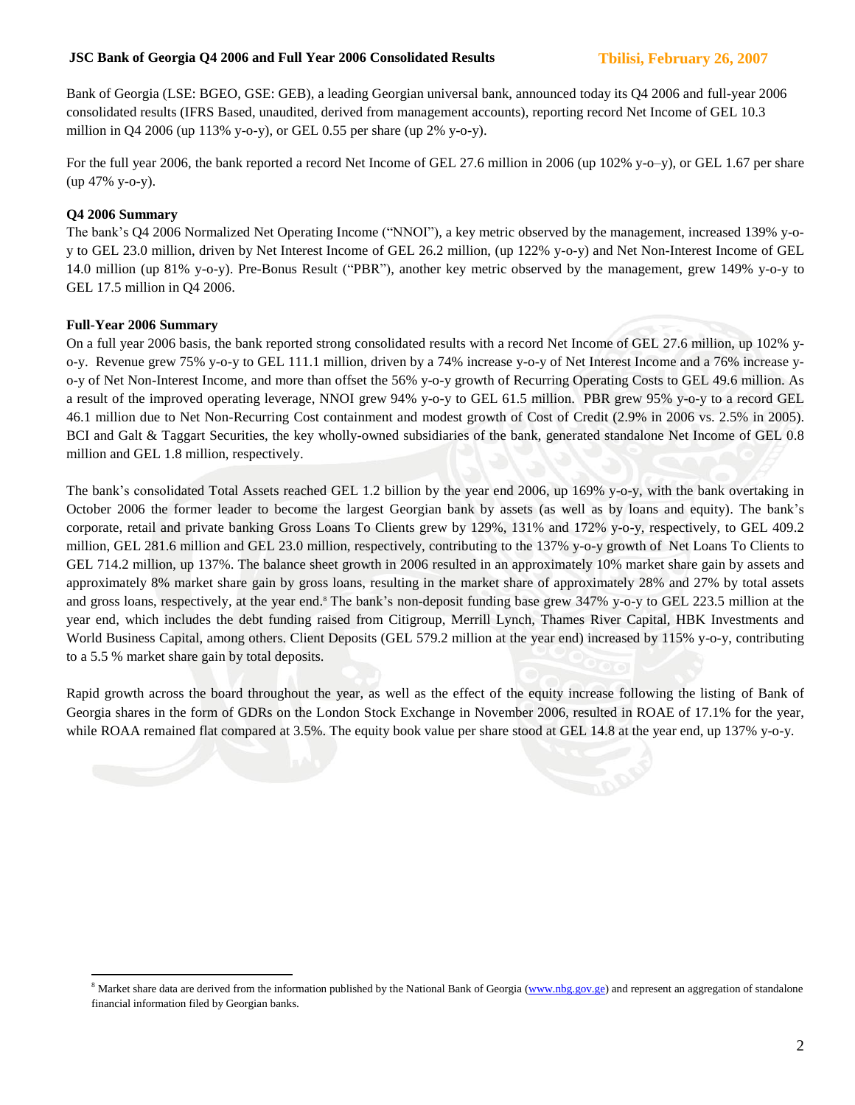# **JSC Bank of Georgia Q4 2006 and Full Year 2006 Consolidated Results Tbilisi, February 26, 2007**

Bank of Georgia (LSE: BGEO, GSE: GEB), a leading Georgian universal bank, announced today its Q4 2006 and full-year 2006 consolidated results (IFRS Based, unaudited, derived from management accounts), reporting record Net Income of GEL 10.3 million in Q4 2006 (up 113% y-o-y), or GEL 0.55 per share (up 2% y-o-y).

For the full year 2006, the bank reported a record Net Income of GEL 27.6 million in 2006 (up 102% y-o–y), or GEL 1.67 per share (up 47% y-o-y).

# **Q4 2006 Summary**

The bank"s Q4 2006 Normalized Net Operating Income ("NNOI"), a key metric observed by the management, increased 139% y-oy to GEL 23.0 million, driven by Net Interest Income of GEL 26.2 million, (up 122% y-o-y) and Net Non-Interest Income of GEL 14.0 million (up 81% y-o-y). Pre-Bonus Result ("PBR"), another key metric observed by the management, grew 149% y-o-y to GEL 17.5 million in Q4 2006.

# **Full-Year 2006 Summary**

 $\overline{a}$ 

On a full year 2006 basis, the bank reported strong consolidated results with a record Net Income of GEL 27.6 million, up 102% yo-y. Revenue grew 75% y-o-y to GEL 111.1 million, driven by a 74% increase y-o-y of Net Interest Income and a 76% increase yo-y of Net Non-Interest Income, and more than offset the 56% y-o-y growth of Recurring Operating Costs to GEL 49.6 million. As a result of the improved operating leverage, NNOI grew 94% y-o-y to GEL 61.5 million. PBR grew 95% y-o-y to a record GEL 46.1 million due to Net Non-Recurring Cost containment and modest growth of Cost of Credit (2.9% in 2006 vs. 2.5% in 2005). BCI and Galt & Taggart Securities, the key wholly-owned subsidiaries of the bank, generated standalone Net Income of GEL 0.8 million and GEL 1.8 million, respectively.

The bank"s consolidated Total Assets reached GEL 1.2 billion by the year end 2006, up 169% y-o-y, with the bank overtaking in October 2006 the former leader to become the largest Georgian bank by assets (as well as by loans and equity). The bank"s corporate, retail and private banking Gross Loans To Clients grew by 129%, 131% and 172% y-o-y, respectively, to GEL 409.2 million, GEL 281.6 million and GEL 23.0 million, respectively, contributing to the 137% y-o-y growth of Net Loans To Clients to GEL 714.2 million, up 137%. The balance sheet growth in 2006 resulted in an approximately 10% market share gain by assets and approximately 8% market share gain by gross loans, resulting in the market share of approximately 28% and 27% by total assets and gross loans, respectively, at the year end.<sup>8</sup> The bank's non-deposit funding base grew 347% y-o-y to GEL 223.5 million at the year end, which includes the debt funding raised from Citigroup, Merrill Lynch, Thames River Capital, HBK Investments and World Business Capital, among others. Client Deposits (GEL 579.2 million at the year end) increased by 115% y-o-y, contributing to a 5.5 % market share gain by total deposits.

Rapid growth across the board throughout the year, as well as the effect of the equity increase following the listing of Bank of Georgia shares in the form of GDRs on the London Stock Exchange in November 2006, resulted in ROAE of 17.1% for the year, while ROAA remained flat compared at 3.5%. The equity book value per share stood at GEL 14.8 at the year end, up 137% y-o-y.

<sup>&</sup>lt;sup>8</sup> Market share data are derived from the information published by the National Bank of Georgia [\(www.nbg.gov.ge\)](http://www.nbg.gov.ge/) and represent an aggregation of standalone financial information filed by Georgian banks.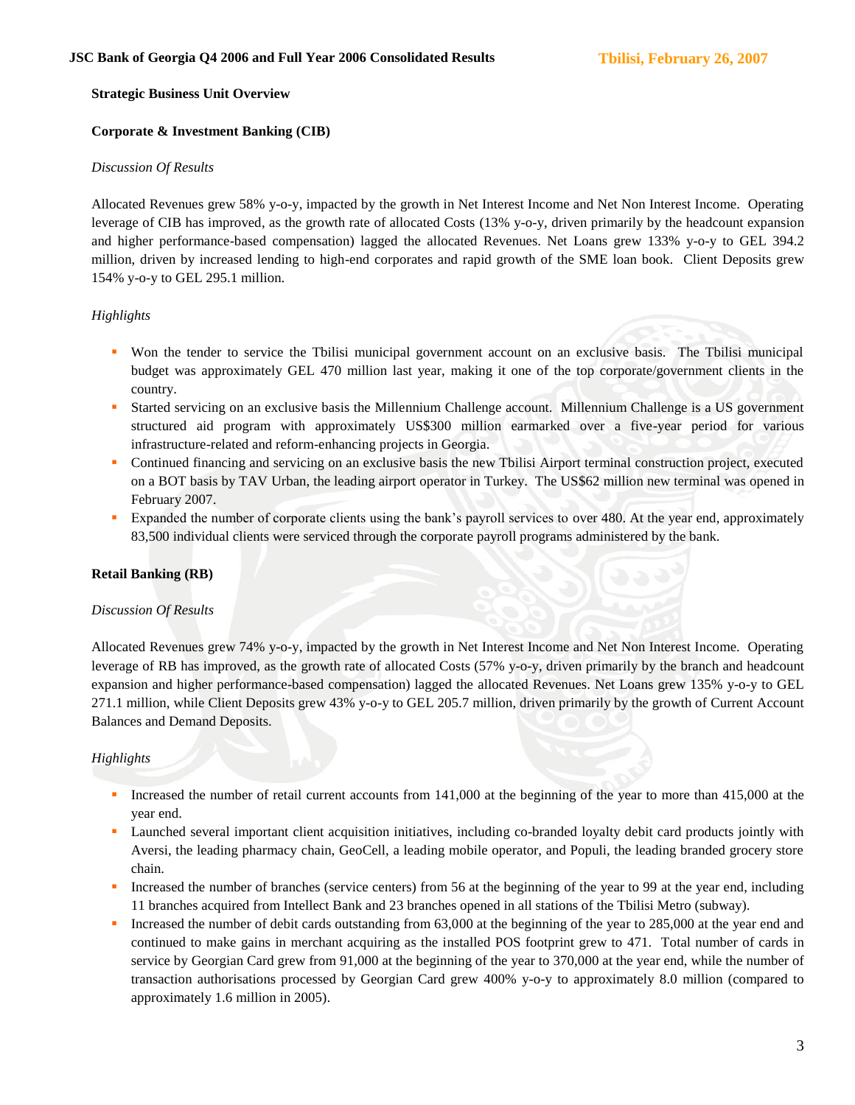## **Strategic Business Unit Overview**

# **Corporate & Investment Banking (CIB)**

#### *Discussion Of Results*

Allocated Revenues grew 58% y-o-y, impacted by the growth in Net Interest Income and Net Non Interest Income. Operating leverage of CIB has improved, as the growth rate of allocated Costs (13% y-o-y, driven primarily by the headcount expansion and higher performance-based compensation) lagged the allocated Revenues. Net Loans grew 133% y-o-y to GEL 394.2 million, driven by increased lending to high-end corporates and rapid growth of the SME loan book. Client Deposits grew 154% y-o-y to GEL 295.1 million.

# *Highlights*

- Won the tender to service the Tbilisi municipal government account on an exclusive basis. The Tbilisi municipal budget was approximately GEL 470 million last year, making it one of the top corporate/government clients in the country.
- Started servicing on an exclusive basis the Millennium Challenge account. Millennium Challenge is a US government structured aid program with approximately US\$300 million earmarked over a five-year period for various infrastructure-related and reform-enhancing projects in Georgia.
- Continued financing and servicing on an exclusive basis the new Tbilisi Airport terminal construction project, executed on a BOT basis by TAV Urban, the leading airport operator in Turkey. The US\$62 million new terminal was opened in February 2007.
- Expanded the number of corporate clients using the bank"s payroll services to over 480. At the year end, approximately 83,500 individual clients were serviced through the corporate payroll programs administered by the bank.

# **Retail Banking (RB)**

#### *Discussion Of Results*

Allocated Revenues grew 74% y-o-y, impacted by the growth in Net Interest Income and Net Non Interest Income. Operating leverage of RB has improved, as the growth rate of allocated Costs (57% y-o-y, driven primarily by the branch and headcount expansion and higher performance-based compensation) lagged the allocated Revenues. Net Loans grew 135% y-o-y to GEL 271.1 million, while Client Deposits grew 43% y-o-y to GEL 205.7 million, driven primarily by the growth of Current Account Balances and Demand Deposits.

# *Highlights*

- Increased the number of retail current accounts from 141,000 at the beginning of the year to more than 415,000 at the year end.
- Launched several important client acquisition initiatives, including co-branded loyalty debit card products jointly with Aversi, the leading pharmacy chain, GeoCell, a leading mobile operator, and Populi, the leading branded grocery store chain.
- Increased the number of branches (service centers) from 56 at the beginning of the year to 99 at the year end, including 11 branches acquired from Intellect Bank and 23 branches opened in all stations of the Tbilisi Metro (subway).
- Increased the number of debit cards outstanding from 63,000 at the beginning of the year to 285,000 at the year end and continued to make gains in merchant acquiring as the installed POS footprint grew to 471. Total number of cards in service by Georgian Card grew from 91,000 at the beginning of the year to 370,000 at the year end, while the number of transaction authorisations processed by Georgian Card grew 400% y-o-y to approximately 8.0 million (compared to approximately 1.6 million in 2005).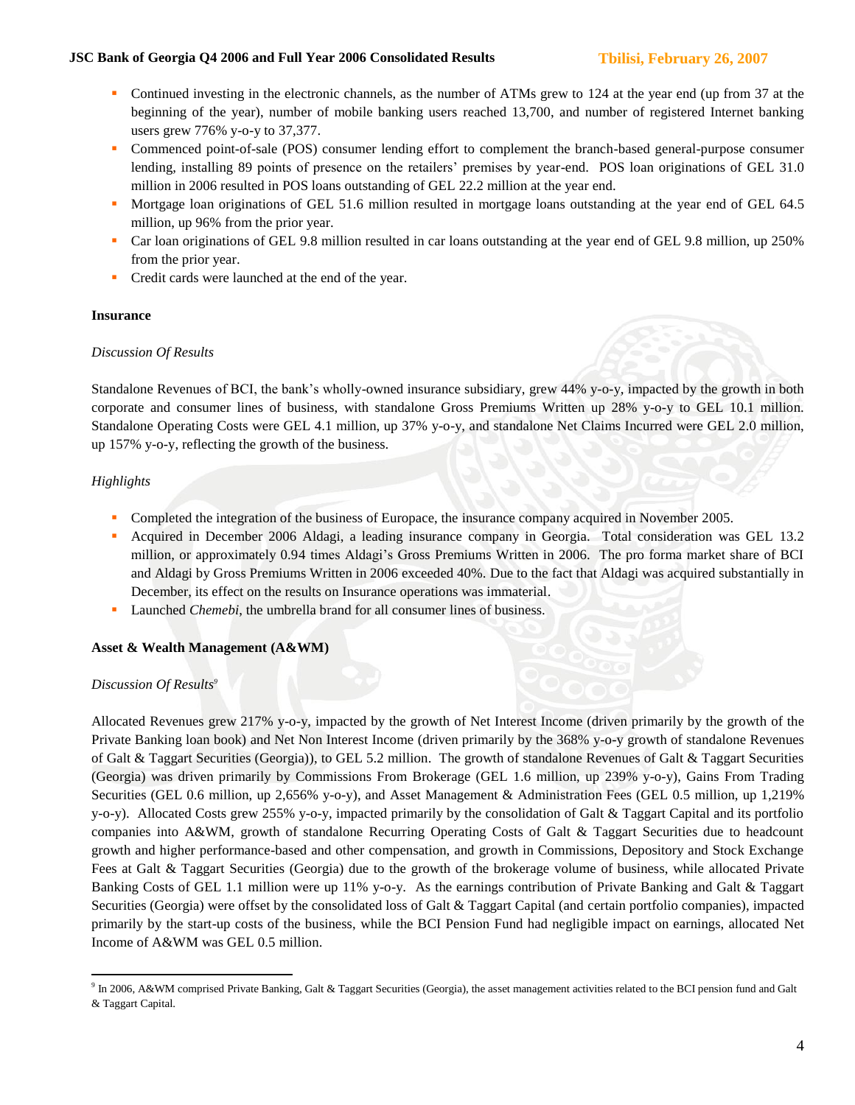- Continued investing in the electronic channels, as the number of ATMs grew to 124 at the year end (up from 37 at the beginning of the year), number of mobile banking users reached 13,700, and number of registered Internet banking users grew 776% y-o-y to 37,377.
- Commenced point-of-sale (POS) consumer lending effort to complement the branch-based general-purpose consumer lending, installing 89 points of presence on the retailers' premises by year-end. POS loan originations of GEL 31.0 million in 2006 resulted in POS loans outstanding of GEL 22.2 million at the year end.
- Mortgage loan originations of GEL 51.6 million resulted in mortgage loans outstanding at the year end of GEL 64.5 million, up 96% from the prior year.
- Car loan originations of GEL 9.8 million resulted in car loans outstanding at the year end of GEL 9.8 million, up 250% from the prior year.
- Credit cards were launched at the end of the year.

#### **Insurance**

#### *Discussion Of Results*

Standalone Revenues of BCI, the bank"s wholly-owned insurance subsidiary, grew 44% y-o-y, impacted by the growth in both corporate and consumer lines of business, with standalone Gross Premiums Written up 28% y-o-y to GEL 10.1 million. Standalone Operating Costs were GEL 4.1 million, up 37% y-o-y, and standalone Net Claims Incurred were GEL 2.0 million, up 157% y-o-y, reflecting the growth of the business.

# *Highlights*

- Completed the integration of the business of Europace, the insurance company acquired in November 2005.
- Acquired in December 2006 Aldagi, a leading insurance company in Georgia. Total consideration was GEL 13.2 million, or approximately 0.94 times Aldagi"s Gross Premiums Written in 2006. The pro forma market share of BCI and Aldagi by Gross Premiums Written in 2006 exceeded 40%. Due to the fact that Aldagi was acquired substantially in December, its effect on the results on Insurance operations was immaterial.
- **Launched** *Chemebi*, the umbrella brand for all consumer lines of business.

# **Asset & Wealth Management (A&WM)**

# *Discussion Of Results<sup>9</sup>*

Allocated Revenues grew 217% y-o-y, impacted by the growth of Net Interest Income (driven primarily by the growth of the Private Banking loan book) and Net Non Interest Income (driven primarily by the 368% y-o-y growth of standalone Revenues of Galt & Taggart Securities (Georgia)), to GEL 5.2 million. The growth of standalone Revenues of Galt & Taggart Securities (Georgia) was driven primarily by Commissions From Brokerage (GEL 1.6 million, up 239% y-o-y), Gains From Trading Securities (GEL 0.6 million, up 2,656% y-o-y), and Asset Management & Administration Fees (GEL 0.5 million, up 1,219% y-o-y). Allocated Costs grew 255% y-o-y, impacted primarily by the consolidation of Galt & Taggart Capital and its portfolio companies into A&WM, growth of standalone Recurring Operating Costs of Galt & Taggart Securities due to headcount growth and higher performance-based and other compensation, and growth in Commissions, Depository and Stock Exchange Fees at Galt & Taggart Securities (Georgia) due to the growth of the brokerage volume of business, while allocated Private Banking Costs of GEL 1.1 million were up 11% y-o-y. As the earnings contribution of Private Banking and Galt & Taggart Securities (Georgia) were offset by the consolidated loss of Galt & Taggart Capital (and certain portfolio companies), impacted primarily by the start-up costs of the business, while the BCI Pension Fund had negligible impact on earnings, allocated Net Income of A&WM was GEL 0.5 million.

 $\overline{a}$ <sup>9</sup> In 2006, A&WM comprised Private Banking, Galt & Taggart Securities (Georgia), the asset management activities related to the BCI pension fund and Galt & Taggart Capital.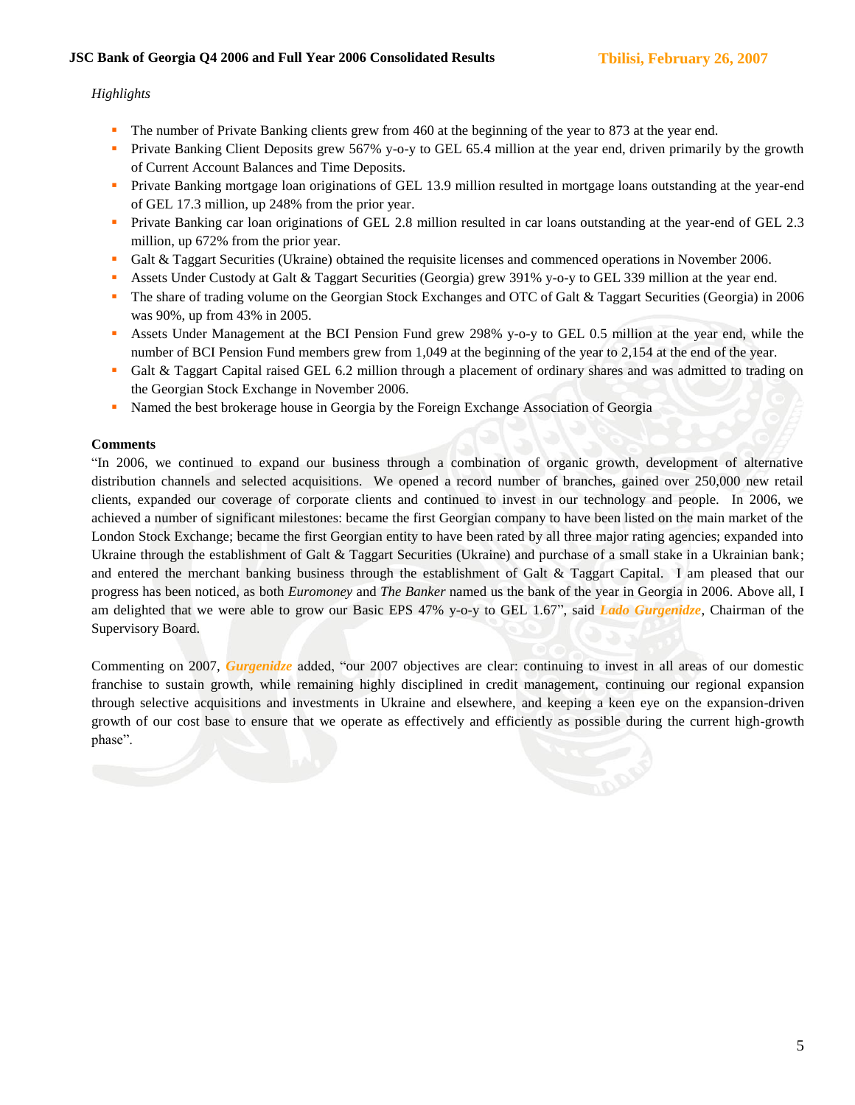## *Highlights*

- The number of Private Banking clients grew from 460 at the beginning of the year to 873 at the year end.
- Private Banking Client Deposits grew 567% y-o-y to GEL 65.4 million at the year end, driven primarily by the growth of Current Account Balances and Time Deposits.
- Private Banking mortgage loan originations of GEL 13.9 million resulted in mortgage loans outstanding at the year-end of GEL 17.3 million, up 248% from the prior year.
- **Private Banking car loan originations of GEL 2.8 million resulted in car loans outstanding at the year-end of GEL 2.3** million, up 672% from the prior year.
- Galt & Taggart Securities (Ukraine) obtained the requisite licenses and commenced operations in November 2006.
- Assets Under Custody at Galt & Taggart Securities (Georgia) grew 391% y-o-y to GEL 339 million at the year end.
- The share of trading volume on the Georgian Stock Exchanges and OTC of Galt & Taggart Securities (Georgia) in 2006 was 90%, up from 43% in 2005.
- Assets Under Management at the BCI Pension Fund grew 298% y-o-y to GEL 0.5 million at the year end, while the number of BCI Pension Fund members grew from 1,049 at the beginning of the year to 2,154 at the end of the year.
- Galt & Taggart Capital raised GEL 6.2 million through a placement of ordinary shares and was admitted to trading on the Georgian Stock Exchange in November 2006.
- Named the best brokerage house in Georgia by the Foreign Exchange Association of Georgia

#### **Comments**

"In 2006, we continued to expand our business through a combination of organic growth, development of alternative distribution channels and selected acquisitions. We opened a record number of branches, gained over 250,000 new retail clients, expanded our coverage of corporate clients and continued to invest in our technology and people. In 2006, we achieved a number of significant milestones: became the first Georgian company to have been listed on the main market of the London Stock Exchange; became the first Georgian entity to have been rated by all three major rating agencies; expanded into Ukraine through the establishment of Galt & Taggart Securities (Ukraine) and purchase of a small stake in a Ukrainian bank; and entered the merchant banking business through the establishment of Galt & Taggart Capital. I am pleased that our progress has been noticed, as both *Euromoney* and *The Banker* named us the bank of the year in Georgia in 2006. Above all, I am delighted that we were able to grow our Basic EPS 47% y-o-y to GEL 1.67", said *Lado Gurgenidze*, Chairman of the Supervisory Board.

Commenting on 2007, *Gurgenidze* added, "our 2007 objectives are clear: continuing to invest in all areas of our domestic franchise to sustain growth, while remaining highly disciplined in credit management, continuing our regional expansion through selective acquisitions and investments in Ukraine and elsewhere, and keeping a keen eye on the expansion-driven growth of our cost base to ensure that we operate as effectively and efficiently as possible during the current high-growth phase".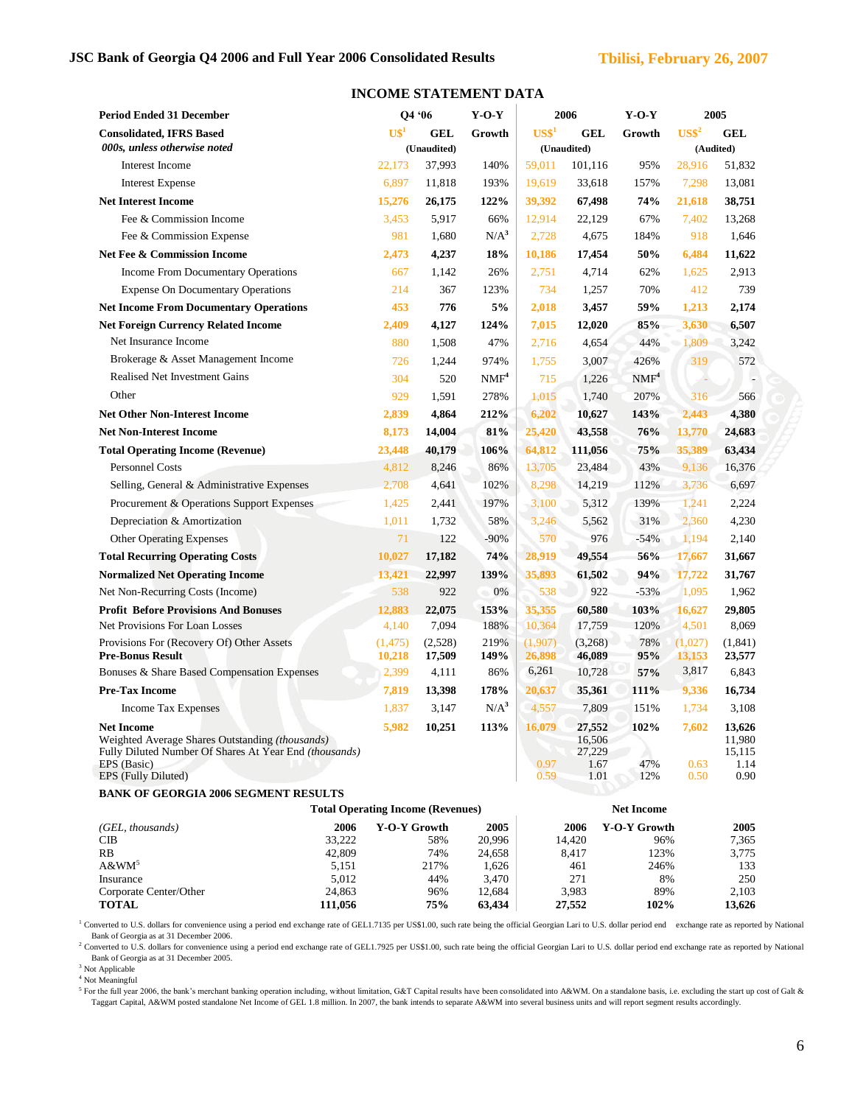| <b>Period Ended 31 December</b>                                                                                          |                                | O4 '06            | $Y-O-Y$          |                   | 2006                     | $Y-O-Y$                    |                    | 2005                     |
|--------------------------------------------------------------------------------------------------------------------------|--------------------------------|-------------------|------------------|-------------------|--------------------------|----------------------------|--------------------|--------------------------|
| <b>Consolidated, IFRS Based</b>                                                                                          | $\mathbf{U}\mathbf{\$}^1$      | GEL               | Growth           | US <sup>1</sup>   | <b>GEL</b>               | Growth                     | $US\$ <sup>2</sup> | <b>GEL</b>               |
| 000s, unless otherwise noted                                                                                             |                                | (Unaudited)       |                  | (Unaudited)       |                          |                            | (Audited)          |                          |
| Interest Income                                                                                                          | 22,173                         | 37,993            | 140%             | 59,011            | 101,116                  | 95%                        | 28,916             | 51,832                   |
| <b>Interest Expense</b>                                                                                                  | 6,897                          | 11,818            | 193%             | 19,619            | 33,618                   | 157%                       | 7,298              | 13,081                   |
| <b>Net Interest Income</b>                                                                                               | 15,276                         | 26,175            | 122%             | 39,392            | 67,498                   | 74%                        | 21,618             | 38,751                   |
| Fee & Commission Income                                                                                                  | 3,453                          | 5,917             | 66%              | 12,914            | 22,129                   | 67%                        | 7,402              | 13,268                   |
| Fee & Commission Expense                                                                                                 | 981                            | 1,680             | $N/A^3$          | 2,728             | 4,675                    | 184%                       | 918                | 1,646                    |
| <b>Net Fee &amp; Commission Income</b>                                                                                   | 2,473                          | 4,237             | 18%              | 10,186            | 17,454                   | 50%                        | 6,484              | 11,622                   |
| Income From Documentary Operations                                                                                       | 667                            | 1,142             | 26%              | 2,751             | 4,714                    | 62%                        | 1,625              | 2,913                    |
| <b>Expense On Documentary Operations</b>                                                                                 | 214                            | 367               | 123%             | 734               | 1,257                    | 70%                        | 412                | 739                      |
| <b>Net Income From Documentary Operations</b>                                                                            | 453                            | 776               | 5%               | 2,018             | 3,457                    | 59%                        | 1,213              | 2,174                    |
| <b>Net Foreign Currency Related Income</b>                                                                               | 2,409                          | 4,127             | 124%             | 7,015             | 12,020                   | 85%                        | 3,630              | 6,507                    |
| Net Insurance Income                                                                                                     | 880                            | 1,508             | 47%              | 2,716             | 4,654                    | 44%                        | 1,809              | 3,242                    |
| Brokerage & Asset Management Income                                                                                      | 726                            | 1,244             | 974%             | 1,755             | 3,007                    | 426%                       | 319                | 572                      |
| <b>Realised Net Investment Gains</b>                                                                                     | 304                            | 520               | NMF <sup>4</sup> | 715               | 1,226                    | $\text{NMF}^4$             |                    |                          |
| Other                                                                                                                    | 929                            | 1,591             | 278%             | 1,015             | 1,740                    | 207%                       | 316                | 566                      |
| <b>Net Other Non-Interest Income</b>                                                                                     | 2,839                          | 4,864             | 212%             | 6,202             | 10,627                   | 143%                       | 2,443              | 4,380                    |
| <b>Net Non-Interest Income</b>                                                                                           | 8,173                          | 14,004            | 81%              | 25,420            | 43,558                   | 76%                        | 13,770             | 24,683                   |
| <b>Total Operating Income (Revenue)</b>                                                                                  | 23,448                         | 40,179            | 106%             | 64,812            | 111,056                  | 75%                        | 35,389             | 63,434                   |
| <b>Personnel Costs</b>                                                                                                   | 4,812                          | 8,246             | 86%              | 13,705            | 23,484                   | 43%                        | 9,136              | 16,376                   |
| Selling, General & Administrative Expenses                                                                               | 2,708                          | 4,641             | 102%             | 8,298             | 14,219                   | 112%                       | 3,736              | 6,697                    |
| Procurement & Operations Support Expenses                                                                                | 1,425                          | 2,441             | 197%             | 3,100             | 5,312                    | 139%                       | 1,241              | 2,224                    |
| Depreciation & Amortization                                                                                              | 1,011                          | 1,732             | 58%              | 3,246             | 5,562                    | 31%                        | 2,360              | 4,230                    |
| <b>Other Operating Expenses</b>                                                                                          | 71                             | 122               | $-90%$           | 570               | 976                      | $-54%$                     | 1,194              | 2,140                    |
| <b>Total Recurring Operating Costs</b>                                                                                   | 10,027                         | 17,182            | 74%              | 28,919            | 49,554                   | 56%                        | 17,667             | 31,667                   |
| <b>Normalized Net Operating Income</b>                                                                                   | 13,421                         | 22,997            | 139%             | 35,893            | 61,502                   | 94%                        | 17,722             | 31,767                   |
| Net Non-Recurring Costs (Income)                                                                                         | 538                            | 922               | 0%<br>it)        | 538               | 922                      | $-53%$                     | 1,095              | 1,962                    |
| <b>Profit Before Provisions And Bonuses</b>                                                                              | 12,883                         | 22,075            | 153%             | 35,355            | 60,580                   | 103%                       | 16,627             | 29,805                   |
| Net Provisions For Loan Losses                                                                                           | 4,140                          | 7,094             | 188%             | 10,364            | 17,759                   | 120%                       | 4,501              | 8,069                    |
| Provisions For (Recovery Of) Other Assets<br><b>Pre-Bonus Result</b>                                                     | (1, 475)<br>10,218             | (2,528)<br>17,509 | 219%<br>149%     | (1,907)<br>26,898 | (3,268)<br>46,089        | 78%<br>95%                 | (1,027)<br>13,153  | (1, 841)<br>23,577       |
| Bonuses & Share Based Compensation Expenses                                                                              | 2,399                          | 4,111             | 86%              | 6,261             | 10,728                   | 57%                        | 3,817              | 6,843                    |
| <b>Pre-Tax Income</b>                                                                                                    | 7,819                          | 13,398            | 178%             | 20,637            | 35,361                   | 111%                       | 9,336              | 16,734                   |
| <b>Income Tax Expenses</b>                                                                                               | 1,837                          | 3,147             | $N/A^3$          | 4,557             | 7,809                    | 151%                       | 1,734              | 3,108                    |
| <b>Net Income</b>                                                                                                        | 5,982                          | 10,251            | 113%             | 16,079            | 27,552                   | 102%                       | 7,602              | 13,626                   |
| Weighted Average Shares Outstanding (thousands)<br>Fully Diluted Number Of Shares At Year End (thousands)<br>EPS (Basic) |                                |                   |                  | 0.97              | 16,506<br>27,229<br>1.67 | 47%                        | 0.63               | 11,980<br>15,115<br>1.14 |
| EPS (Fully Diluted)                                                                                                      |                                |                   |                  | 0.59              | 1.01                     | 12%                        | 0.50               | 0.90                     |
| <b>BANK OF GEORGIA 2006 SEGMENT RESULTS</b>                                                                              |                                |                   |                  |                   |                          |                            |                    |                          |
| <b>Total Operating Income (Revenues)</b><br><b>Net Income</b>                                                            |                                |                   |                  |                   |                          |                            |                    |                          |
| (GEL, thousands)<br>CІB                                                                                                  | 2006<br>Y-O-Y Growth<br>33,222 | 58%               | 2005<br>20,996   |                   | 2006<br>14,420           | <b>Y-O-Y Growth</b><br>96% |                    | 2005<br>7,365            |
| RB                                                                                                                       | 42,809                         | 74%               | 24,658           |                   | 8,417                    | 123%                       |                    | 3,775                    |
| $A\&WM^5$<br>Insurance                                                                                                   | 5,151                          | 217%              | 1,626            |                   | 461                      | 246%                       |                    | 133                      |
| Corporate Center/Other                                                                                                   | 5,012<br>24,863                | 44%<br>96%        | 3,470<br>12,684  |                   | 271<br>3,983             | 8%<br>89%                  |                    | 250<br>2,103             |
| <b>TOTAL</b><br>111,056                                                                                                  |                                | 75%               | 63,434           |                   | 27,552                   | 102%                       |                    | 13,626                   |

#### **INCOME STATEMENT DATA**

<sup>1</sup> Converted to U.S. dollars for convenience using a period end exchange rate of GEL1.7135 per US\$1.00, such rate being the official Georgian Lari to U.S. dollar period end exchange rate as reported by National Bank of Georgia as at 31 December 2006.

<sup>2</sup> Converted to U.S. dollars for convenience using a period end exchange rate of GEL1.7925 per US\$1.00, such rate being the official Georgian Lari to U.S. dollar period end exchange rate as reported by National Bank of Georgia as at 31 December 2005.

<sup>3</sup> Not Applicable

<sup>4</sup> Not Meaningful

<sup>5</sup> For the full year 2006, the bank's merchant banking operation including, without limitation, G&T Capital results have been consolidated into A&WM. On a standalone basis, i.e. excluding the start up cost of Galt & Taggart Capital, A&WM posted standalone Net Income of GEL 1.8 million. In 2007, the bank intends to separate A&WM into several business units and will report segment results accordingly.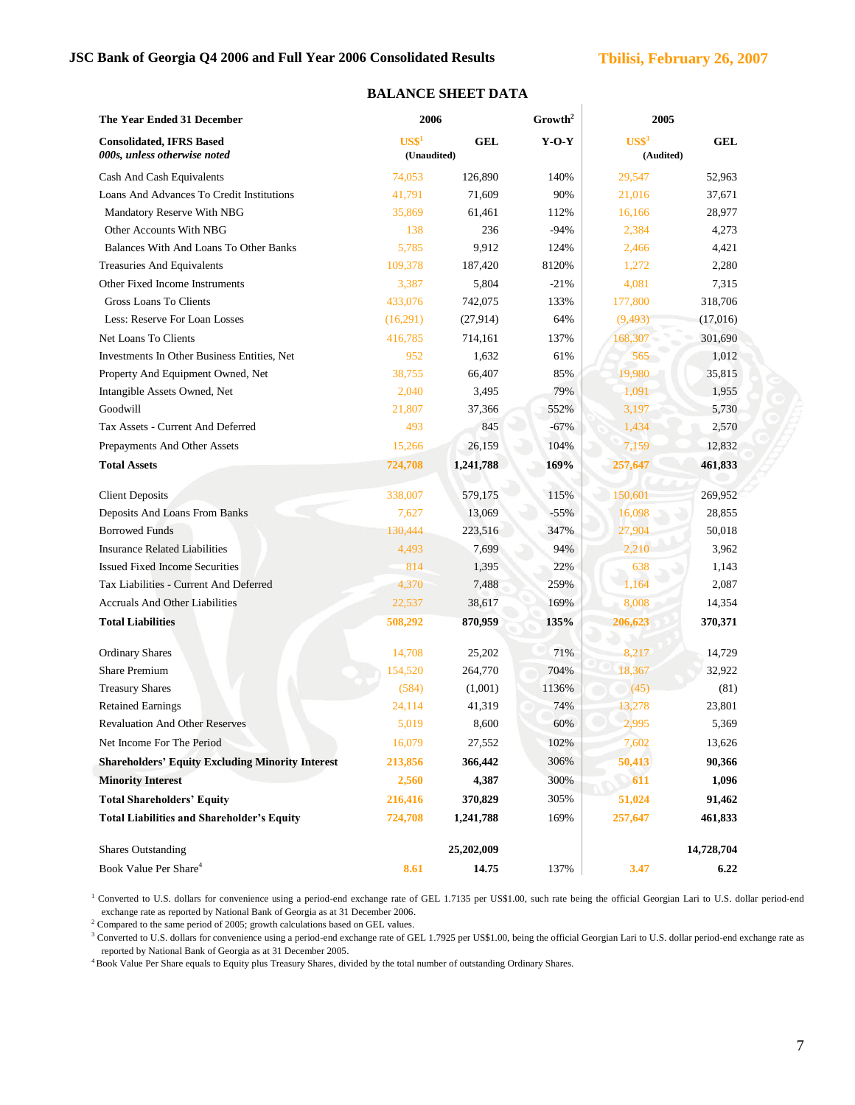# **JSC Bank of Georgia Q4 2006 and Full Year 2006 Consolidated Results Tbilisi, February 26, 2007**

Ŷ.

| The Year Ended 31 December                                      | 2006                                               |            | Growth <sup>2</sup> | 2005                        |            |
|-----------------------------------------------------------------|----------------------------------------------------|------------|---------------------|-----------------------------|------------|
| <b>Consolidated, IFRS Based</b><br>000s, unless otherwise noted | $\mathbf{U}\mathbf{S}\mathbf{\$}^1$<br>(Unaudited) | GEL        | $Y-O-Y$             | $\text{USS}^3$<br>(Audited) | <b>GEL</b> |
| Cash And Cash Equivalents                                       | 74,053                                             | 126,890    | 140%                | 29,547                      | 52,963     |
| Loans And Advances To Credit Institutions                       | 41,791                                             | 71,609     | 90%                 | 21,016                      | 37,671     |
| Mandatory Reserve With NBG                                      | 35,869                                             | 61,461     | 112%                | 16,166                      | 28,977     |
| Other Accounts With NBG                                         | 138                                                | 236        | $-94%$              | 2,384                       | 4,273      |
| Balances With And Loans To Other Banks                          | 5,785                                              | 9,912      | 124%                | 2,466                       | 4,421      |
| Treasuries And Equivalents                                      | 109,378                                            | 187,420    | 8120%               | 1,272                       | 2,280      |
| Other Fixed Income Instruments                                  | 3,387                                              | 5,804      | $-21%$              | 4,081                       | 7,315      |
| Gross Loans To Clients                                          | 433,076                                            | 742,075    | 133%                | 177,800                     | 318,706    |
| Less: Reserve For Loan Losses                                   | (16,291)                                           | (27, 914)  | 64%                 | (9, 493)                    | (17,016)   |
| Net Loans To Clients                                            | 416,785                                            | 714,161    | 137%                | 168,307                     | 301,690    |
| Investments In Other Business Entities, Net                     | 952                                                | 1,632      | 61%                 | 565                         | 1,012      |
| Property And Equipment Owned, Net                               | 38,755                                             | 66,407     | 85%                 | 19,980                      | 35,815     |
| Intangible Assets Owned, Net                                    | 2,040                                              | 3,495      | 79%                 | 1,091                       | 1,955      |
| Goodwill                                                        | 21,807                                             | 37,366     | 552%                | 3,197                       | 5,730      |
| Tax Assets - Current And Deferred                               | 493                                                | 845        | $-67%$              | 1,434                       | 2,570      |
| Prepayments And Other Assets                                    | 15,266                                             | 26,159     | 104%                | 7,159                       | 12,832     |
| <b>Total Assets</b>                                             | 724,708                                            | 1,241,788  | 169%                | 257,647                     | 461,833    |
| <b>Client Deposits</b>                                          | 338,007                                            | 579,175    | 115%                | 150,601                     | 269,952    |
| Deposits And Loans From Banks                                   | 7,627                                              | 13,069     | $-55%$              | 16,098                      | 28,855     |
| <b>Borrowed Funds</b>                                           | 130,444                                            | 223,516    | 347%                | 27,904                      | 50,018     |
| <b>Insurance Related Liabilities</b>                            | 4,493                                              | 7,699      | 94%                 | 2,210                       | 3,962      |
| <b>Issued Fixed Income Securities</b>                           | 814                                                | 1,395      | 22%                 | 638                         | 1,143      |
| Tax Liabilities - Current And Deferred                          | 4,370                                              | 7,488      | 259%                | 1,164                       | 2,087      |
| <b>Accruals And Other Liabilities</b>                           | 22,537                                             | 38,617     | 169%                | 8,008                       | 14,354     |
| <b>Total Liabilities</b>                                        | 508,292                                            | 870,959    | 135%                | 206,623                     | 370,371    |
| <b>Ordinary Shares</b>                                          | 14,708                                             | 25,202     | 71%                 | 8,217                       | 14,729     |
| <b>Share Premium</b>                                            | 154,520                                            | 264,770    | 704%                | 18,367                      | 32,922     |
| <b>Treasury Shares</b>                                          | (584)                                              | (1,001)    | 1136%               | (45)                        | (81)       |
| <b>Retained Earnings</b>                                        | 24,114                                             | 41,319     | 74%                 | 13,278                      | 23,801     |
| <b>Revaluation And Other Reserves</b>                           | 5,019                                              | 8,600      | 60%                 | 2,995                       | 5,369      |
| Net Income For The Period                                       | 16,079                                             | 27,552     | 102%                | 7,602                       | 13,626     |
| <b>Shareholders' Equity Excluding Minority Interest</b>         | 213,856                                            | 366,442    | 306%                | 50,413                      | 90,366     |
| <b>Minority Interest</b>                                        | 2,560                                              | 4,387      | 300%                | 611                         | 1,096      |
| <b>Total Shareholders' Equity</b>                               | 216,416                                            | 370,829    | 305%                | 51,024                      | 91,462     |
| <b>Total Liabilities and Shareholder's Equity</b>               | 724,708                                            | 1,241,788  | 169%                | 257,647                     | 461,833    |
| <b>Shares Outstanding</b>                                       |                                                    | 25,202,009 |                     |                             | 14,728,704 |
| Book Value Per Share <sup>4</sup>                               | 8.61                                               | 14.75      | 137%                | 3.47                        | 6.22       |

# **BALANCE SHEET DATA**

<sup>1</sup> Converted to U.S. dollars for convenience using a period-end exchange rate of GEL 1.7135 per US\$1.00, such rate being the official Georgian Lari to U.S. dollar period-end exchange rate as reported by National Bank of Georgia as at 31 December 2006.

<sup>2</sup> Compared to the same period of 2005; growth calculations based on GEL values.

<sup>3</sup> Converted to U.S. dollars for convenience using a period-end exchange rate of GEL 1.7925 per US\$1.00, being the official Georgian Lari to U.S. dollar period-end exchange rate as reported by National Bank of Georgia as at 31 December 2005.

<sup>4</sup> Book Value Per Share equals to Equity plus Treasury Shares, divided by the total number of outstanding Ordinary Shares.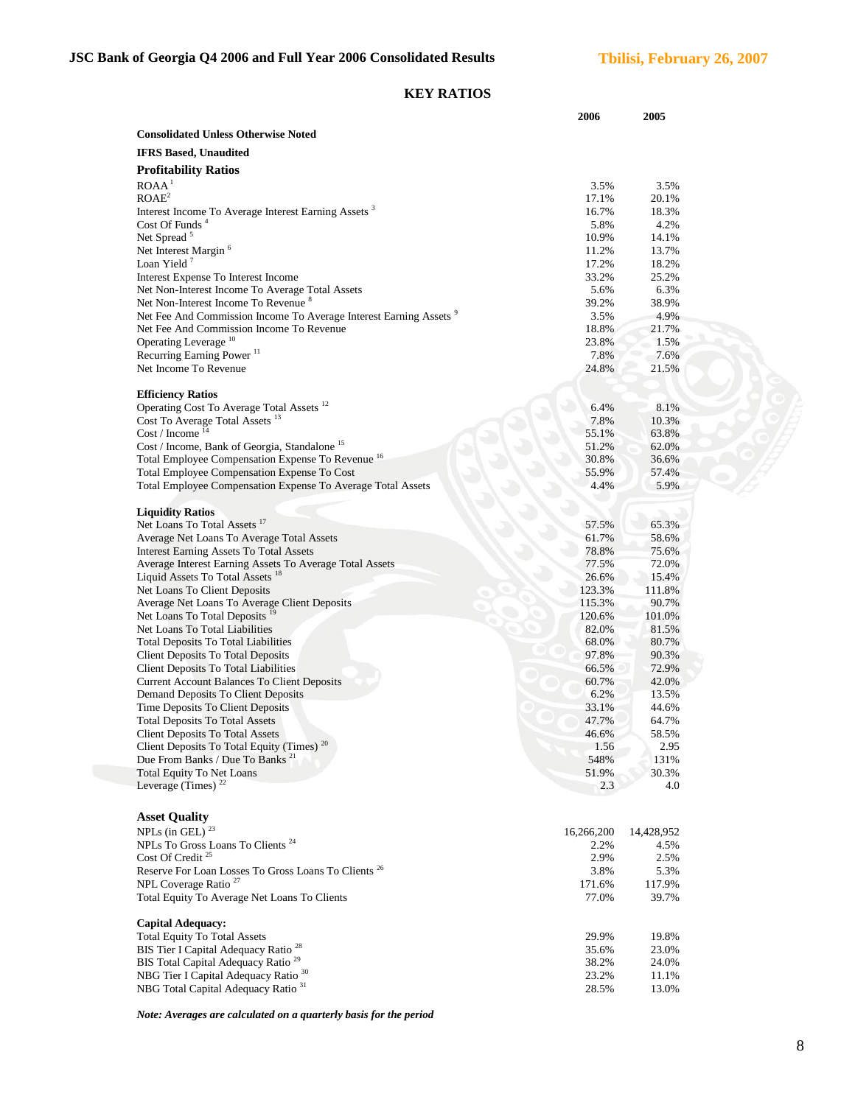# **KEY RATIOS**

|                                                                               | 2006            | 2005            |
|-------------------------------------------------------------------------------|-----------------|-----------------|
| <b>Consolidated Unless Otherwise Noted</b>                                    |                 |                 |
| <b>IFRS Based, Unaudited</b>                                                  |                 |                 |
|                                                                               |                 |                 |
| <b>Profitability Ratios</b>                                                   |                 |                 |
| ROAA <sup>1</sup>                                                             | 3.5%            | 3.5%            |
| ROAE <sup>2</sup>                                                             | 17.1%           | 20.1%           |
| Interest Income To Average Interest Earning Assets <sup>3</sup>               | 16.7%           | 18.3%           |
| Cost Of Funds <sup>4</sup>                                                    | 5.8%            | 4.2%            |
| Net Spread <sup>5</sup>                                                       | 10.9%           | 14.1%           |
| Net Interest Margin <sup>6</sup><br>Loan Yield $7$                            | 11.2%           | 13.7%           |
| Interest Expense To Interest Income                                           | 17.2%<br>33.2%  | 18.2%<br>25.2%  |
| Net Non-Interest Income To Average Total Assets                               | 5.6%            | 6.3%            |
| Net Non-Interest Income To Revenue <sup>8</sup>                               | 39.2%           | 38.9%           |
| Net Fee And Commission Income To Average Interest Earning Assets <sup>9</sup> | 3.5%            | 4.9%            |
| Net Fee And Commission Income To Revenue                                      | 18.8%           | 21.7%           |
| Operating Leverage <sup>10</sup>                                              | 23.8%           | 1.5%            |
| Recurring Earning Power <sup>11</sup>                                         | 7.8%            | 7.6%            |
| Net Income To Revenue                                                         | 24.8%           | 21.5%           |
|                                                                               |                 |                 |
| <b>Efficiency Ratios</b>                                                      |                 |                 |
| Operating Cost To Average Total Assets <sup>12</sup>                          | 6.4%            | 8.1%            |
| Cost To Average Total Assets <sup>13</sup>                                    | 7.8%            | 10.3%           |
| Cost / Income $14$                                                            | 55.1%           | 63.8%           |
| Cost / Income, Bank of Georgia, Standalone <sup>15</sup>                      | 51.2%           | 62.0%           |
| Total Employee Compensation Expense To Revenue <sup>16</sup>                  | 30.8%           | 36.6%           |
| Total Employee Compensation Expense To Cost                                   | 55.9%           | 57.4%           |
| Total Employee Compensation Expense To Average Total Assets                   | 4.4%            | 5.9%            |
|                                                                               |                 |                 |
| <b>Liquidity Ratios</b>                                                       |                 |                 |
| Net Loans To Total Assets <sup>17</sup>                                       | 57.5%           | 65.3%           |
| Average Net Loans To Average Total Assets                                     | 61.7%           | 58.6%           |
| <b>Interest Earning Assets To Total Assets</b>                                | 78.8%           | 75.6%           |
| Average Interest Earning Assets To Average Total Assets                       | 77.5%           | 72.0%           |
| Liquid Assets To Total Assets <sup>18</sup>                                   | 26.6%<br>123.3% | 15.4%           |
| Net Loans To Client Deposits<br>Average Net Loans To Average Client Deposits  | 115.3%          | 111.8%<br>90.7% |
| Net Loans To Total Deposits <sup>19</sup>                                     | 120.6%          | 101.0%          |
| Net Loans To Total Liabilities                                                | 82.0%           | 81.5%           |
| <b>Total Deposits To Total Liabilities</b>                                    | 68.0%           | 80.7%           |
| <b>Client Deposits To Total Deposits</b>                                      | 97.8%           | 90.3%           |
| <b>Client Deposits To Total Liabilities</b>                                   | 66.5%           | 72.9%           |
| <b>Current Account Balances To Client Deposits</b>                            | 60.7%           | 42.0%           |
| Demand Deposits To Client Deposits                                            | 6.2%            | 13.5%           |
| Time Deposits To Client Deposits                                              | 33.1%           | 44.6%           |
| <b>Total Deposits To Total Assets</b>                                         | 47.7%           | 64.7%           |
| <b>Client Deposits To Total Assets</b>                                        | 46.6%           | 58.5%           |
| Client Deposits To Total Equity (Times) <sup>20</sup>                         | 1.56            | 2.95            |
| Due From Banks / Due To Banks <sup>21</sup>                                   | 548%            | 131%            |
| <b>Total Equity To Net Loans</b>                                              | 51.9%           | 30.3%           |
| Leverage (Times) $^{22}$                                                      | 2.3             | 4.0             |
|                                                                               |                 |                 |
| <b>Asset Quality</b>                                                          |                 |                 |
| NPLs (in GEL) <sup>23</sup>                                                   | 16,266,200      | 14,428,952      |
| NPLs To Gross Loans To Clients <sup>24</sup>                                  | 2.2%            | 4.5%            |
| Cost Of Credit <sup>25</sup>                                                  | 2.9%            | 2.5%            |
| Reserve For Loan Losses To Gross Loans To Clients <sup>26</sup>               | 3.8%            | 5.3%            |
| NPL Coverage Ratio <sup>27</sup>                                              | 171.6%          | 117.9%          |
| Total Equity To Average Net Loans To Clients                                  | 77.0%           | 39.7%           |
|                                                                               |                 |                 |
| <b>Capital Adequacy:</b>                                                      |                 |                 |
| <b>Total Equity To Total Assets</b>                                           | 29.9%           | 19.8%           |
| BIS Tier I Capital Adequacy Ratio <sup>28</sup>                               | 35.6%           | 23.0%           |
| BIS Total Capital Adequacy Ratio <sup>29</sup>                                | 38.2%           | 24.0%           |
| NBG Tier I Capital Adequacy Ratio <sup>30</sup>                               | 23.2%           | 11.1%           |
| NBG Total Capital Adequacy Ratio <sup>31</sup>                                | 28.5%           | 13.0%           |
|                                                                               |                 |                 |

*Note: Averages are calculated on a quarterly basis for the period*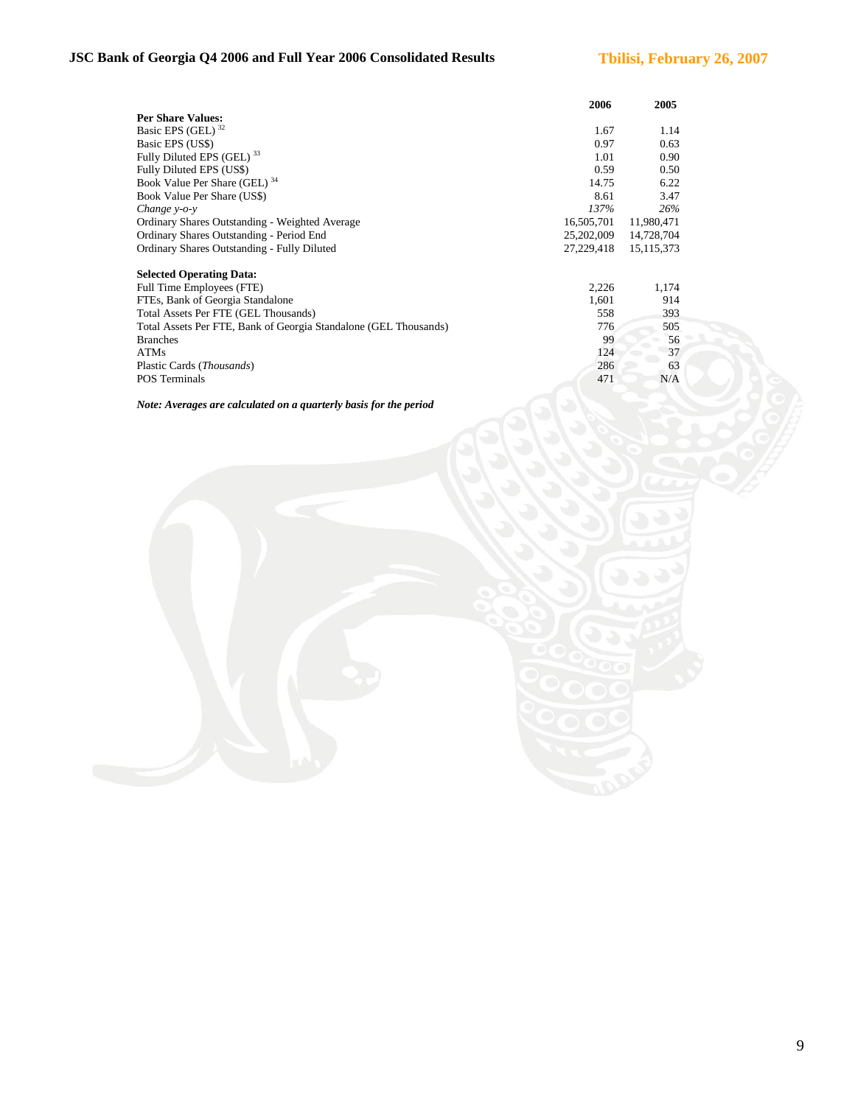# **JSC Bank of Georgia Q4 2006 and Full Year 2006 Consolidated Results Tbilisi, February 26, 2007**

|                                                                  | 2006       | 2005         |
|------------------------------------------------------------------|------------|--------------|
| <b>Per Share Values:</b>                                         |            |              |
| Basic EPS (GEL) <sup>32</sup>                                    | 1.67       | 1.14         |
| Basic EPS (US\$)                                                 | 0.97       | 0.63         |
| Fully Diluted EPS (GEL) <sup>33</sup>                            | 1.01       | 0.90         |
| Fully Diluted EPS (US\$)                                         | 0.59       | 0.50         |
| Book Value Per Share (GEL) 34                                    | 14.75      | 6.22         |
| Book Value Per Share (US\$)                                      | 8.61       | 3.47         |
| Change $y$ - $o$ - $y$                                           | 137%       | 26%          |
| Ordinary Shares Outstanding - Weighted Average                   | 16,505,701 | 11,980,471   |
| Ordinary Shares Outstanding - Period End                         | 25,202,009 | 14,728,704   |
| Ordinary Shares Outstanding - Fully Diluted                      | 27,229,418 | 15, 115, 373 |
| <b>Selected Operating Data:</b>                                  |            |              |
| Full Time Employees (FTE)                                        | 2,226      | 1,174        |
| FTEs, Bank of Georgia Standalone                                 | 1,601      | 914          |
| Total Assets Per FTE (GEL Thousands)                             | 558        | 393          |
| Total Assets Per FTE, Bank of Georgia Standalone (GEL Thousands) | 776        | 505          |
| <b>Branches</b>                                                  | 99         | 56           |
| <b>ATMs</b>                                                      | 124        | 37           |
| Plastic Cards ( <i>Thousands</i> )                               | 286        | 63           |
| <b>POS Terminals</b>                                             | 471        | N/A          |

*Note: Averages are calculated on a quarterly basis for the period*